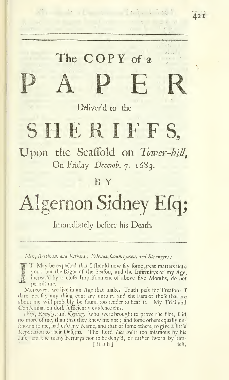# The COPY of a OPY of a<br>PER

42 <sup>i</sup>

Deliver'd to the

### SHERIFFS,

Upon the Scaffold on Tower-hill, On Friday Decemb. 7. 1683.

 $B<sub>x</sub>$ 

## Algernon Sidney Efq;

Immediately before his Death.

Men, Brethren, and Fathers ; Friends, Countrymen, and Strangers :

T May be expected that <sup>I</sup> fhould now fay fome great matters unto you; but the Rigor of the Seafon, and the Infirmitys of my Age, increas'd by a clofe Imprifonment of above five Months, do not permit me.

Moreover, we live in an Age that makes Truth pafs for Treafon:  ${\bf I}$ dare net fay any thing contrary unto ir, and the Ears of thofe that are about me will probably be found too tender to hear it. My Trial and Condemnation doth fufficiently evidence this.

 $iVef$ , Rumfey, and Keyling, who were brought to prove the Plot, faid no more of me, than that they knew me not ; and fome others equally un known to me, had us'd my Name, and that of fome others, to give a little Reputation to their Defigns. The Lord Howard is too infamous by his Life, and the many Perjurys'not to bedeny'd, or rather fworn by him-  $[Hhh]$  felf,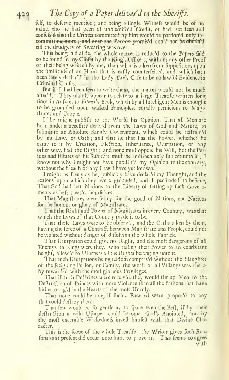#### The Copy of a Paper deliver  $d$  to the Sheriffs.

felf, to deferve mention; and being a fingle Witnefs would be of no value, tho he had been of unblemifh'd Credit, or had not feen and confefs'd that the Crimes committed by him would be pardon'd only for committing more; and even the Pardon promis'd could not be obtain'd till the drudgery of Swearing was over.

This being laid afjde, the whole matter is reduc'd to the Papers laid to be found in my Clofet by the King's Officers, without any other Proof of their being written by me, than what is taken from fuppofitions upon the fimilitude of an Hand that is eafily counterfeited, and which hath been lately declar'd in the Lady Car's Cafe to be no lawful Evidence in Criminal Caufes.

But if I had been feen to write them, the matter would not be much alter'd. They plainly appear to relate to <sup>a</sup> large Treatife written long fince in Anfwer to Filmer's Book, which by all Intelligent Men is thought to be grounded upon wicked Principles, equally pernicious to Magiftrates and People.

If he might publifli to the World his Opinion, That all Men are born under a neceflity derived from the Laws of God and Nature, to fubmit to an Abfolute Kingly Government, which could be reftrain'd by no Law, or Oath ; and that he that has the Power, whether he came to it by Creation, Election, Inheritance, Ufurpation, or any other way, had the Right; and none muft oppole his Will, but the Perfons and Eftates of his Subjects muft be indifpenfably fubject unto it; I know not why <sup>I</sup> might not have publifh'd my Opinion to the contrary, without the breach of any Law <sup>I</sup> have yet known.

<sup>I</sup> might as freely as he, publickly have declar'd my Thought, and the reafons upon which they were grounded, and I perfuaded to believe, That God had left Nations to the Liberty of fetting up fuch Governments as beft pleas'd themselves.

That Magiftrates were fet up for the good of Nations, not Nations for the honour or glory of Magiftrates.

That the Right and Power of Magiltrates in every Country, was that which the Laws of that Country made it to be.

That thofe Laws were to be obferu'd, and the Oaths taken by them, having the force of a Contract between Magiftrate and People, could not be violated without danger of diffolving the whole Fabrick.

That Ufurpation could give no Right, and the molt dangerous of all Enemys to Kings were they, who railing their Power to an exorbitant height, allow'd to Ufurpers all the Rights belonging unto it.

That fuch Ufurpations being feldom compafs'd without the Slaughter of the Reigning Perfon, or Family, the word of all Villanys was thereby rewarded with the moft glorious Privileges.

That if fuch Doctrines were receiv'd, they would ftir up Men to the Deftruct on of Princes with more Violence than all the Paffions that have hitherto rag'd in the Hearts of the molt Unruly.

That none could be fafe, if fuch a Reward were propos'd to any that could deftroy them.

That few would be fo gentle as to fpare even the Beft, if by their deftruction a wild Ufurper could become God's Anointed, and by the moft execrable Wickednefs inveft himfelf with that Divine Character.

This is the fcope of the whole Treatife; the Writer gives fuch Reafons as at prefent did occur unto him, to prove it. This teems to agree with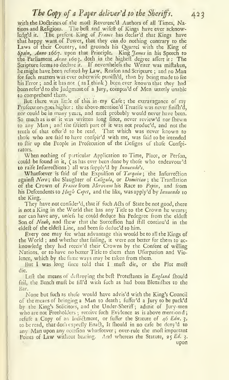#### The Copy of a Paper deliver'd to the Sheriffs. 423

with the Doctrines of the moft Reverenc'd Authors of all Times, Nations and Religions. The beft and wifeft of Kings have ever acknowledg'd it. The prefent King of France has declar'd that Kings have that happy want of Power, that they can do nothing contrary to the Laws of their Country, and grounds his Quarrel with the King of Spain, Anno 1667. upon that Principle. King James in his Speech to the Parliament  $A$ *nno* 1603. doth in the highelt degree affert it: The Scripture feems to declare it. If neverthelefs the Writer was miftaken, lie might have been refuted by Law, Reafon and Scripture ; and no Man for fuch matters was ever otherwife punifh'd, than by being made to fee his Error ; and it has not ( as <sup>I</sup> think ) been ever known that they had been refer'd to the Judgment of a Jury, compos'd of Men utterly unable to comprehend them.

But there was little of this in my Cafe; the extravagance of my Profecutors goes higher : the above-mention'd Treatife was never finish'd, nor could be in many years, and moft probably would never have been. So much as is of it was written long fince, never review'd nor fhewn to any Man ; and the fiftieth part of it was not produe'd, and not the tenth of that offer'd to be read. That which was never known to thofe who are faid to have confpir'd with me, was faid to be intended to ftir up the People in Prolecution of the Defigns of thofe Confpirators.

When nothing of particular Application to Time, Place, or Perfon, could be found in it, (as has ever been done by thofe who endeavour'd to raife Infurrections) all was fupply'd by *Innuendo's*.

Whatfoever is faid of the Expulfion of Tarquin; the Infurrection againft Nero; the Slaughter of Caligula, or Domitian; the Tranflation of the Crown of France from Meroveus his Race to Pepin, and from his Defcendents to  $Hugb$  Capet, and the like, was apply'd by Innuendo to the King.

They have not confider'd, that if fuch Acts of State be not good, there is not a King in the World that has any Title to the Crown he wears; nor can have any, unlefs he could deduce his Pedegree from the eldeft Son of *Noah*, and fhew that the Succeffion had ftill continu'd in the eldeft of the eldeft Line, and been fo dedue'd to him.

Every one may fee what advantage this would be to all the Kings of the World ; and whether that failing, it were not better for them to ac knowledg they had receiv'd their Crowns by the Confent of willing Nations, or to have no better Title to them than Ufurpation and Violence, which by the fame ways may be taken from them.

But <sup>I</sup> was long finee told that I muft die, or the Plot muft die.

Left the means of deftroying the beft Proteftants in England fhould fail, the Bench muft be fill'd with fuch as had been Blemifhes to the Bar.

None but fuch as thefe would have advis'd with the King's Council of the means of bringing <sup>a</sup> Man to death ; fuffer'd <sup>a</sup> Jury to be pack'd by the King's Solicitors, and the Under-Sheriff'; admit of Jury-men who are not Freeholders; receive fuch Evidence as is above mentiond; refufe a Copy of an Indictment, or fuffer the Statute of  $46$  Edw.  $3$ , to be read, that doth exprefly Enact, It fhould in no cafe be deny'd to any Man upon any occasion whatfoever; over-rule the moft important Points of Law without hearing. And whereas the Statute, 25 Ed. 3. upon $\mathbb{R}^n$